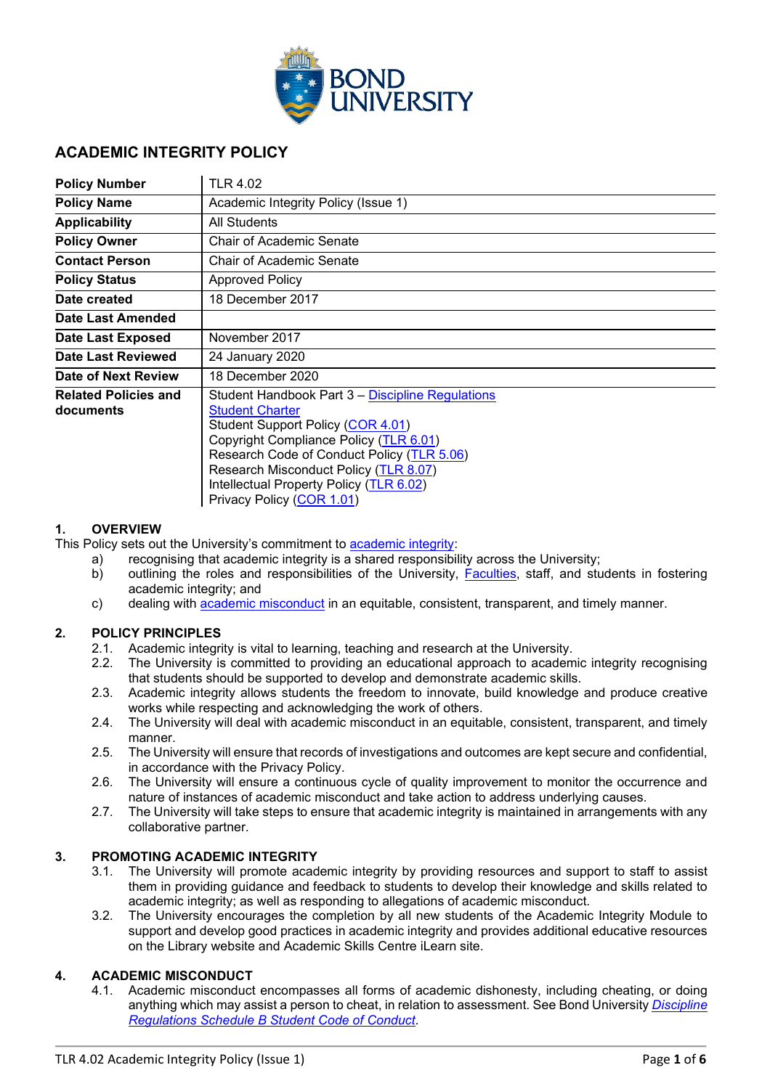

### **ACADEMIC INTEGRITY POLICY**

| <b>Policy Number</b>                     | <b>TLR 4.02</b>                                                                                                                                                                                                                                                                                                          |
|------------------------------------------|--------------------------------------------------------------------------------------------------------------------------------------------------------------------------------------------------------------------------------------------------------------------------------------------------------------------------|
| <b>Policy Name</b>                       | Academic Integrity Policy (Issue 1)                                                                                                                                                                                                                                                                                      |
| <b>Applicability</b>                     | <b>All Students</b>                                                                                                                                                                                                                                                                                                      |
| <b>Policy Owner</b>                      | Chair of Academic Senate                                                                                                                                                                                                                                                                                                 |
| <b>Contact Person</b>                    | Chair of Academic Senate                                                                                                                                                                                                                                                                                                 |
| <b>Policy Status</b>                     | <b>Approved Policy</b>                                                                                                                                                                                                                                                                                                   |
| Date created                             | 18 December 2017                                                                                                                                                                                                                                                                                                         |
| Date Last Amended                        |                                                                                                                                                                                                                                                                                                                          |
| <b>Date Last Exposed</b>                 | November 2017                                                                                                                                                                                                                                                                                                            |
| Date Last Reviewed                       | 24 January 2020                                                                                                                                                                                                                                                                                                          |
| Date of Next Review                      | 18 December 2020                                                                                                                                                                                                                                                                                                         |
| <b>Related Policies and</b><br>documents | Student Handbook Part 3 – Discipline Regulations<br><b>Student Charter</b><br>Student Support Policy (COR 4.01)<br>Copyright Compliance Policy (TLR 6.01)<br>Research Code of Conduct Policy (TLR 5.06)<br>Research Misconduct Policy (TLR 8.07)<br>Intellectual Property Policy (TLR 6.02)<br>Privacy Policy (COR 1.01) |

### **1. OVERVIEW**

This Policy sets out the University's commitment to [academic integrity:](#page-2-0)

- a) recognising that academic integrity is a shared responsibility across the University;
- b) outlining the roles and responsibilities of the University, [Faculties,](#page-2-1) staff, and students in fostering academic integrity; and
- c) dealing with [academic misconduct](#page-2-2) in an equitable, consistent, transparent, and timely manner.

### **2. POLICY PRINCIPLES**

- 2.1. Academic integrity is vital to learning, teaching and research at the University.
- 2.2. The University is committed to providing an educational approach to academic integrity recognising that students should be supported to develop and demonstrate academic skills.
- 2.3. Academic integrity allows students the freedom to innovate, build knowledge and produce creative works while respecting and acknowledging the work of others.
- 2.4. The University will deal with academic misconduct in an equitable, consistent, transparent, and timely manner.
- 2.5. The University will ensure that records of investigations and outcomes are kept secure and confidential, in accordance with the Privacy Policy.
- 2.6. The University will ensure a continuous cycle of quality improvement to monitor the occurrence and nature of instances of academic misconduct and take action to address underlying causes.
- 2.7. The University will take steps to ensure that academic integrity is maintained in arrangements with any collaborative partner.

### **3. PROMOTING ACADEMIC INTEGRITY**

- 3.1. The University will promote academic integrity by providing resources and support to staff to assist them in providing guidance and feedback to students to develop their knowledge and skills related to academic integrity; as well as responding to allegations of academic misconduct.
- 3.2. The University encourages the completion by all new students of the Academic Integrity Module to support and develop good practices in academic integrity and provides additional educative resources on the Library website and Academic Skills Centre iLearn site.

### **4. ACADEMIC MISCONDUCT**

4.1. Academic misconduct encompasses all forms of academic dishonesty, including cheating, or doing anything which may assist a person to cheat, in relation to assessment. See Bond University *[Discipline](https://bond.edu.au/files/676/Student%20Handbook.%20Part%203%3A%20Discipline%20Regulations.pdf)  [Regulations Schedule B Student Code of Conduct](https://bond.edu.au/files/676/Student%20Handbook.%20Part%203%3A%20Discipline%20Regulations.pdf)*.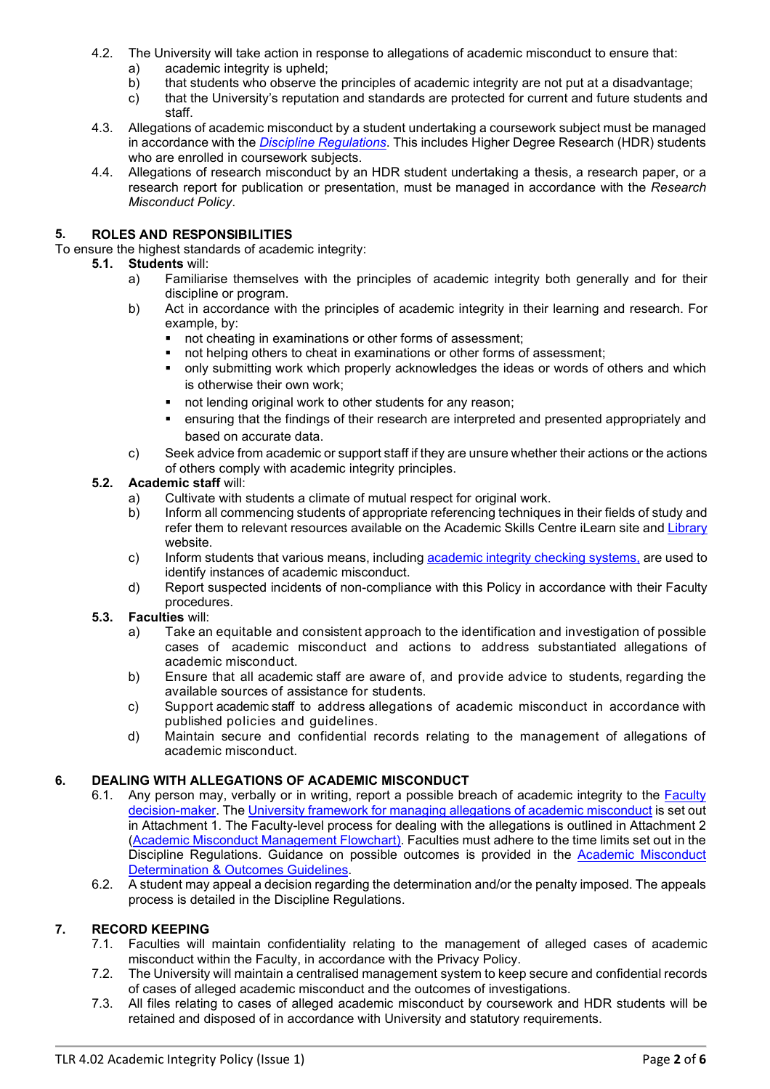- 4.2. The University will take action in response to allegations of academic misconduct to ensure that:
	- a) academic integrity is upheld;<br>b) that students who observe the
	- b) that students who observe the principles of academic integrity are not put at a disadvantage;
	- c) that the University's reputation and standards are protected for current and future students and staff.
- 4.3. Allegations of academic misconduct by a student undertaking a coursework subject must be managed in accordance with the *Discipline [Regulations](https://bond.edu.au/files/676/Student%20Handbook.%20Part%203%3A%20Discipline%20Regulations.pdf)*. This includes Higher Degree Research (HDR) students who are enrolled in coursework subjects.
- 4.4. Allegations of research misconduct by an HDR student undertaking a thesis, a research paper, or a research report for publication or presentation, must be managed in accordance with the *Research Misconduct Policy*.

### **5. ROLES AND RESPONSIBILITIES**

To ensure the highest standards of academic integrity:

- **5.1. Students** will:
	- Familiarise themselves with the principles of academic integrity both generally and for their discipline or program.
	- b) Act in accordance with the principles of academic integrity in their learning and research. For example, by:<br>
	not cheate
		- not cheating in examinations or other forms of assessment;
		- not helping others to cheat in examinations or other forms of assessment;
		- only submitting work which properly acknowledges the ideas or words of others and which is otherwise their own work;
		- not lending original work to other students for any reason;
		- ensuring that the findings of their research are interpreted and presented appropriately and based on accurate data.
	- c) Seek advice from academic or support staff if they are unsure whether their actions or the actions of others comply with academic integrity principles.

### **5.2. Academic staff** will:

- a) Cultivate with students a climate of mutual respect for original work.
- b) Inform all commencing students of appropriate referencing techniques in their fields of study and refer them to relevant resources available on the Academic Skills Centre iLearn site and [Library](https://library.bond.edu.au/help-support/information-skills-tools/referencing) website.
- c) Inform students that various means, including [academic integrity checking systems,](#page-2-3) are used to identify instances of academic misconduct.
- d) Report suspected incidents of non-compliance with this Policy in accordance with their Faculty procedures.

## **5.3. Faculties** will:

- Take an equitable and consistent approach to the identification and investigation of possible cases of academic misconduct and actions to address substantiated allegations of academic misconduct.
- b) Ensure that all academic staff are aware of, and provide advice to students, regarding the available sources of assistance for students.
- c) Support academic staff to address allegations of academic misconduct in accordance with published policies and guidelines.
- d) Maintain secure and confidential records relating to the management of allegations of academic misconduct.

### **6. DEALING WITH ALLEGATIONS OF ACADEMIC MISCONDUCT**

- 6.1. Any person may, verbally or in writing, report a possible breach of academic integrity to the [Faculty](#page-2-4)  [decision-maker.](#page-2-4) The University framework for managing [allegations of academic misconduct](#page-2-5) is set out in Attachment 1. The Faculty-level process for dealing with the allegations is outlined in Attachment 2 (Academic Misconduct [Management Flowchart\)](#page-4-0). Faculties must adhere to the time limits set out in the Discipline Regulations. Guidance on possible outcomes is provided in the Academic Misconduct **Determination & Outcomes Guidelines.**
- 6.2. A student may appeal a decision regarding the determination and/or the penalty imposed. The appeals process is detailed in the Discipline Regulations.

### **7. RECORD KEEPING**

- 7.1. Faculties will maintain confidentiality relating to the management of alleged cases of academic misconduct within the Faculty, in accordance with the [Privacy Policy.](http://www.uow.edu.au/about/policy/alphalisting/ssLINK/UOW038289)
- 7.2. The University will maintain a centralised management system to keep secure and confidential records of cases of alleged academic misconduct and the outcomes of investigations.
- 7.3. All files relating to cases of alleged academic misconduct by coursework and HDR students will be retained and disposed of in accordance with University and statutory requirements.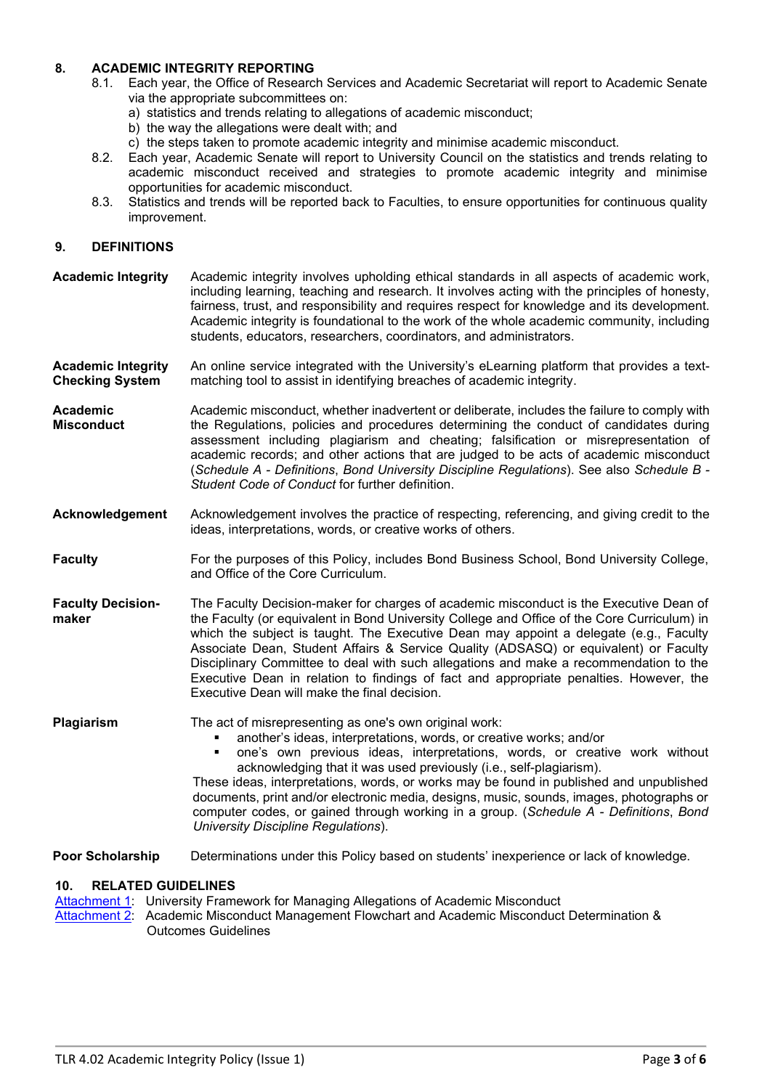### **8. ACADEMIC INTEGRITY REPORTING**

- 8.1. Each year, the Office of Research Services and Academic Secretariat will report to Academic Senate via the appropriate subcommittees on:
	- a) statistics and trends relating to allegations of academic misconduct;
	- b) the way the allegations were dealt with; and
	- c) the steps taken to promote academic integrity and minimise academic misconduct.
- 8.2. Each year, Academic Senate will report to University Council on the statistics and trends relating to academic misconduct received and strategies to promote academic integrity and minimise opportunities for academic misconduct.
- 8.3. Statistics and trends will be reported back to Faculties, to ensure opportunities for continuous quality improvement.

### **9. DEFINITIONS**

- <span id="page-2-0"></span>**Academic Integrity** Academic integrity involves upholding ethical standards in all aspects of academic work, including learning, teaching and research. It involves acting with the principles of honesty, fairness, trust, and responsibility and requires respect for knowledge and its development. Academic integrity is foundational to the work of the whole academic community, including students, educators, researchers, coordinators, and administrators.
- <span id="page-2-3"></span>**Academic Integrity Checking System**  An online service integrated with the University's eLearning platform that provides a textmatching tool to assist in identifying breaches of academic integrity.
- <span id="page-2-2"></span>**Academic Misconduct** Academic misconduct, whether inadvertent or deliberate, includes the failure to comply with the Regulations, policies and procedures determining the conduct of candidates during assessment including plagiarism and cheating; falsification or misrepresentation of academic records; and other actions that are judged to be acts of academic misconduct (*Schedule A - Definitions*, *Bond University Discipline Regulations*). See also *Schedule B - Student Code of Conduct* for further definition.
- **Acknowledgement** Acknowledgement involves the practice of respecting, referencing, and giving credit to the ideas, interpretations, words, or creative works of others.
- <span id="page-2-1"></span>**Faculty** For the purposes of this Policy, includes Bond Business School, Bond University College, and Office of the Core Curriculum.
- <span id="page-2-4"></span>**Faculty Decisionmaker** The Faculty Decision-maker for charges of academic misconduct is the Executive Dean of the Faculty (or equivalent in Bond University College and Office of the Core Curriculum) in which the subject is taught. The Executive Dean may appoint a delegate (e.g., Faculty Associate Dean, Student Affairs & Service Quality (ADSASQ) or equivalent) or Faculty Disciplinary Committee to deal with such allegations and make a recommendation to the Executive Dean in relation to findings of fact and appropriate penalties. However, the Executive Dean will make the final decision.

**Plagiarism** The act of misrepresenting as one's own original work:

- another's ideas, interpretations, words, or creative works; and/or
	- one's own previous ideas, interpretations, words, or creative work without acknowledging that it was used previously (i.e., self-plagiarism).

<span id="page-2-5"></span>These ideas, interpretations, words, or works may be found in published and unpublished documents, print and/or electronic media, designs, music, sounds, images, photographs or computer codes, or gained through working in a group. (*Schedule A - Definitions*, *Bond University Discipline Regulations*).

**Poor Scholarship** Determinations under this Policy based on students' inexperience or lack of knowledge.

### **10. RELATED GUIDELINES**

[Attachment 1:](#page-2-5) University Framework for Managing Allegations of Academic Misconduct Attachment 2: Academic Misconduct Management Flowchart and Academic Misconduct Determination & Outcomes Guidelines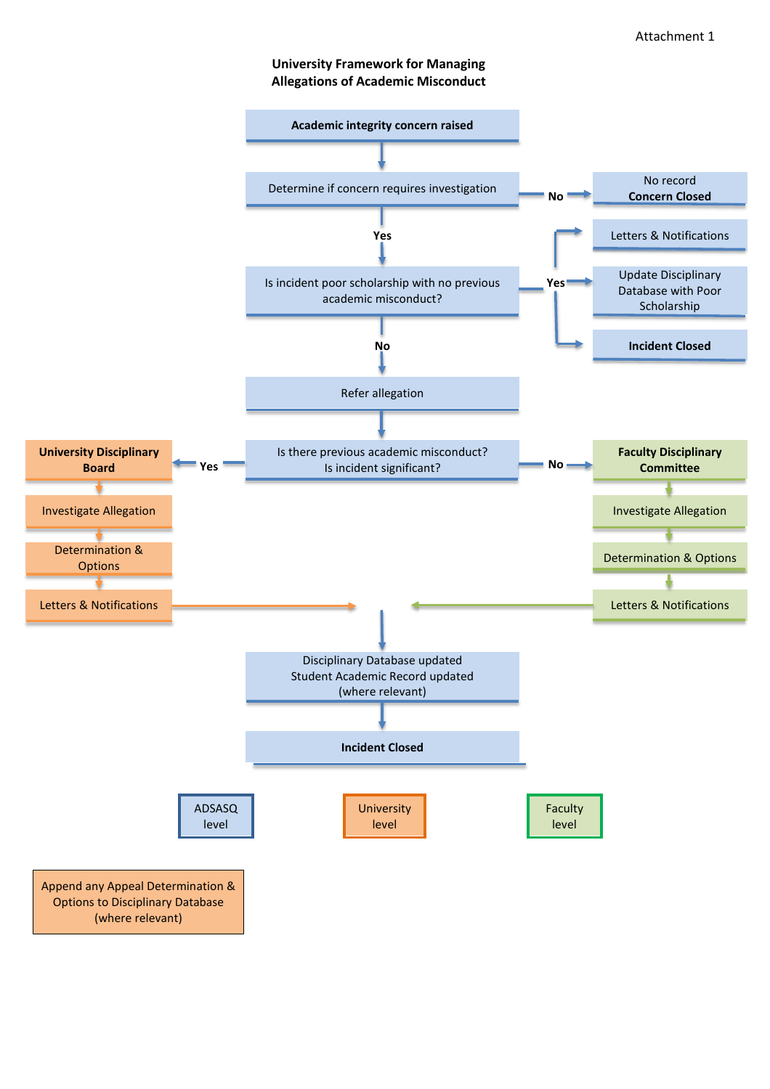### **University Framework for Managing Allegations of Academic Misconduct**

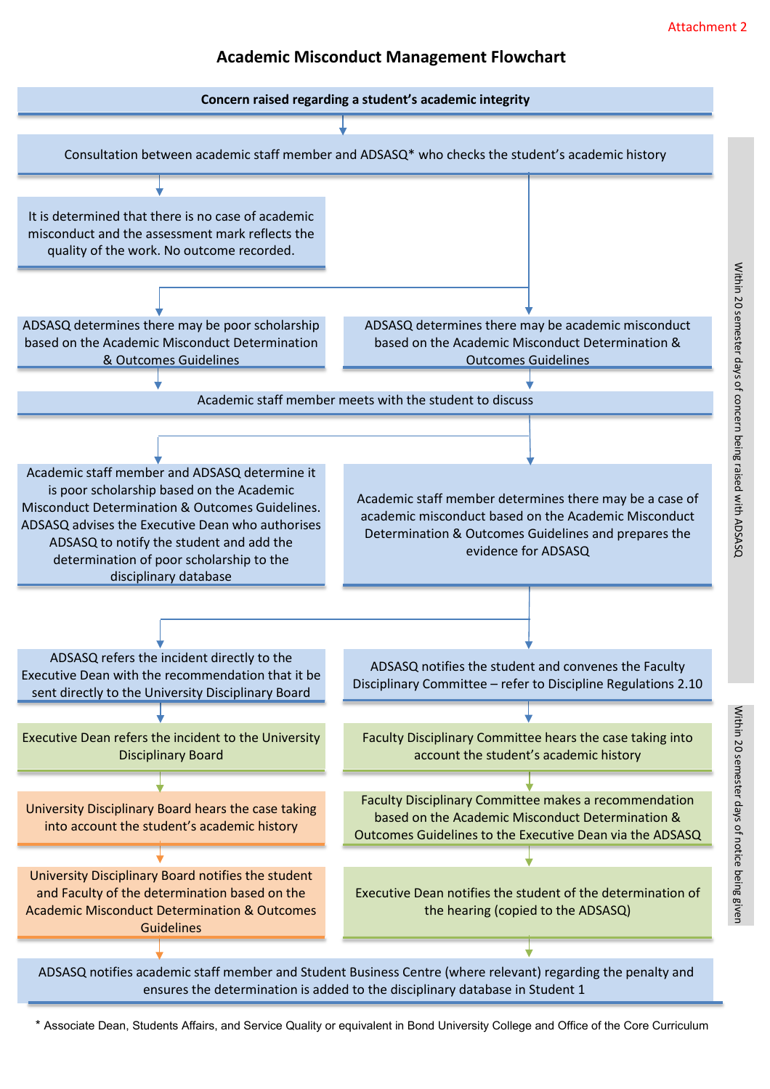## **Academic Misconduct Management Flowchart**

<span id="page-4-0"></span>

\* Associate Dean, Students Affairs, and Service Quality or equivalent in Bond University College and Office of the Core Curriculum